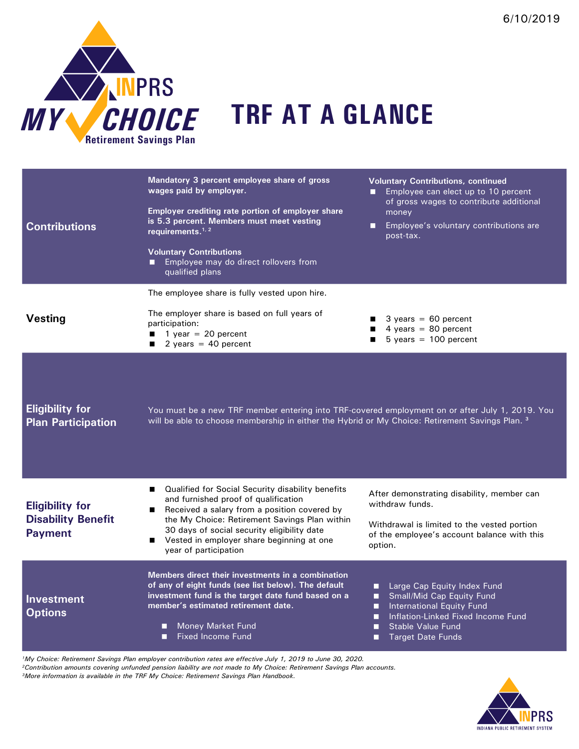

| <b>Contributions</b>                                                  | Mandatory 3 percent employee share of gross<br>wages paid by employer.<br>Employer crediting rate portion of employer share<br>is 5.3 percent. Members must meet vesting<br>requirements. $1, 2$<br><b>Voluntary Contributions</b><br>Employee may do direct rollovers from<br>qualified plans                  | <b>Voluntary Contributions, continued</b><br>Employee can elect up to 10 percent<br>п<br>of gross wages to contribute additional<br>money<br>Employee's voluntary contributions are<br>о<br>post-tax.        |
|-----------------------------------------------------------------------|-----------------------------------------------------------------------------------------------------------------------------------------------------------------------------------------------------------------------------------------------------------------------------------------------------------------|--------------------------------------------------------------------------------------------------------------------------------------------------------------------------------------------------------------|
| <b>Vesting</b>                                                        | The employee share is fully vested upon hire.<br>The employer share is based on full years of<br>participation:<br>1 year = $20$ percent<br>2 years = $40$ percent                                                                                                                                              | $3 \text{ years} = 60 \text{ percent}$<br>4 years = $80$ percent<br>п<br>$5 \text{ years} = 100 \text{ percent}$                                                                                             |
| <b>Eligibility for</b><br><b>Plan Participation</b>                   | You must be a new TRF member entering into TRF-covered employment on or after July 1, 2019. You<br>will be able to choose membership in either the Hybrid or My Choice: Retirement Savings Plan. <sup>3</sup>                                                                                                   |                                                                                                                                                                                                              |
| <b>Eligibility for</b><br><b>Disability Benefit</b><br><b>Payment</b> | Qualified for Social Security disability benefits<br>and furnished proof of qualification<br>Received a salary from a position covered by<br>the My Choice: Retirement Savings Plan within<br>30 days of social security eligibility date<br>Vested in employer share beginning at one<br>year of participation | After demonstrating disability, member can<br>withdraw funds.<br>Withdrawal is limited to the vested portion<br>of the employee's account balance with this<br>option.                                       |
| <b>Investment</b><br><b>Options</b>                                   | Members direct their investments in a combination<br>of any of eight funds (see list below). The default<br>investment fund is the target date fund based on a<br>member's estimated retirement date.<br><b>Money Market Fund</b><br>□<br><b>Fixed Income Fund</b><br>П                                         | Large Cap Equity Index Fund<br>п<br>Small/Mid Cap Equity Fund<br>International Equity Fund<br>п<br>Inflation-Linked Fixed Income Fund<br>п<br><b>Stable Value Fund</b><br>п<br><b>Target Date Funds</b><br>□ |

*1My Choice: Retirement Savings Plan employer contribution rates are effective July 1, 2019 to June 30, 2020. 2Contribution amounts covering unfunded pension liability are not made to My Choice: Retirement Savings Plan accounts. 3More information is available in the TRF My Choice: Retirement Savings Plan Handbook.*